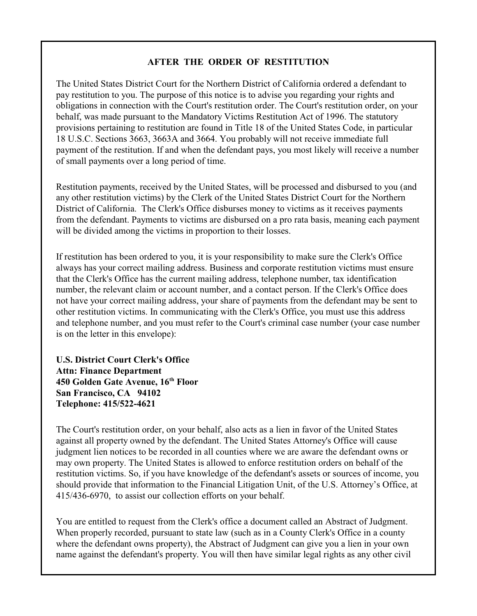## **AFTER THE ORDER OF RESTITUTION**

The United States District Court for the Northern District of California ordered a defendant to pay restitution to you. The purpose of this notice is to advise you regarding your rights and obligations in connection with the Court's restitution order. The Court's restitution order, on your behalf, was made pursuant to the Mandatory Victims Restitution Act of 1996. The statutory provisions pertaining to restitution are found in Title 18 of the United States Code, in particular 18 U.S.C. Sections 3663, 3663A and 3664. You probably will not receive immediate full payment of the restitution. If and when the defendant pays, you most likely will receive a number of small payments over a long period of time.

Restitution payments, received by the United States, will be processed and disbursed to you (and any other restitution victims) by the Clerk of the United States District Court for the Northern District of California. The Clerk's Office disburses money to victims as it receives payments from the defendant. Payments to victims are disbursed on a pro rata basis, meaning each payment will be divided among the victims in proportion to their losses.

If restitution has been ordered to you, it is your responsibility to make sure the Clerk's Office always has your correct mailing address. Business and corporate restitution victims must ensure that the Clerk's Office has the current mailing address, telephone number, tax identification number, the relevant claim or account number, and a contact person. If the Clerk's Office does not have your correct mailing address, your share of payments from the defendant may be sent to other restitution victims. In communicating with the Clerk's Office, you must use this address and telephone number, and you must refer to the Court's criminal case number (your case number is on the letter in this envelope):

**U.S. District Court Clerk's Office Attn: Finance Department 450 Golden Gate Avenue, 16 Floor th San Francisco, CA 94102 Telephone: 415/522-4621**

The Court's restitution order, on your behalf, also acts as a lien in favor of the United States against all property owned by the defendant. The United States Attorney's Office will cause judgment lien notices to be recorded in all counties where we are aware the defendant owns or may own property. The United States is allowed to enforce restitution orders on behalf of the restitution victims. So, if you have knowledge of the defendant's assets or sources of income, you should provide that information to the Financial Litigation Unit, of the U.S. Attorney's Office, at 415/436-6970, to assist our collection efforts on your behalf.

You are entitled to request from the Clerk's office a document called an Abstract of Judgment. When properly recorded, pursuant to state law (such as in a County Clerk's Office in a county where the defendant owns property), the Abstract of Judgment can give you a lien in your own name against the defendant's property. You will then have similar legal rights as any other civil